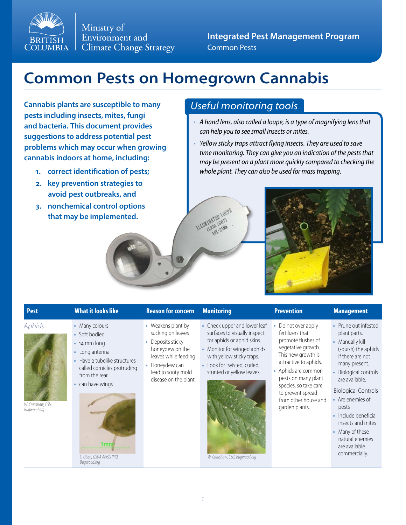

Ministry of Environment and **Climate Change Strategy** 

**Integrated Pest Management Program** Common Pests

# **Common Pests on Homegrown Cannabis**

**Cannabis plants are susceptible to many pests including insects, mites, fungi and bacteria. This document provides suggestions to address potential pest problems which may occur when growing cannabis indoors at home, including:**

- **1. correct identification of pests;**
- **2. key prevention strategies to avoid pest outbreaks, and**
- **3. nonchemical control options that may be implemented.**

## *Useful monitoring tools*

- *• A hand lens, also called a loupe, is a type of magnifying lens that can help you to see small insects or mites.*
- *• Yellow sticky traps attract flying insects. They are used to save time monitoring. They can give you an indication of the pests that may be present on a plant more quickly compared to checking the whole plant. They can also be used for mass trapping.*





### *Aphids* • Many colours

*W. Cranshaw, CSU, Bugwood.org*

- Soft bodied
- 14 mm long
- Long antenna
- Have 2 tubelike structures called cornicles protruding from the rear
- can have wings



*Bugwood.org*

### **Pest What it looks like Reason for concern Monitoring Prevention Management**

- Weakens plant by sucking on leaves
- Deposits sticky honeydew on the leaves while feeding
- Honeydew can lead to sooty mold disease on the plant.
- Check upper and lower leaf surfaces to visually inspect
	- for aphids or aphid skins. • Monitor for winged aphids
- with yellow sticky traps. Look for twisted, curled,
- stunted or yellow leaves.



*C. Olsen, USDA APHIS PPQ, W. Cranshaw, CSU, Bugwood.org*

- Do not over apply fertilizers that promote flushes of vegetative growth. This new growth is attractive to aphids.
- Aphids are common pests on many plant species, so take care to prevent spread from other house and garden plants.

- Prune out infested plant parts.
- Manually kill (squish) the aphids if there are not many present.
- Biological controls are available.

### Biological Controls

- Are enemies of pests
- Include beneficial insects and mites
- Many of these natural enemies are available commercially.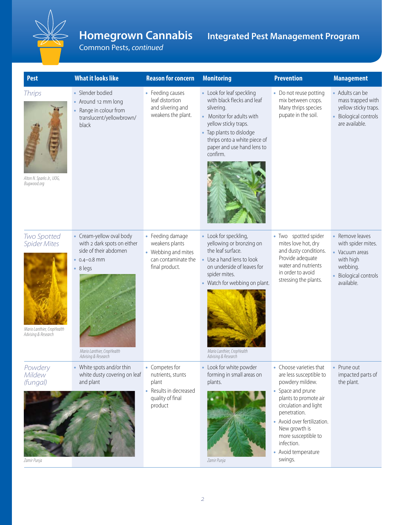

## **Homegrown Cannabis**

**Integrated Pest Management Program**

Common Pests, *continued*

| <b>Pest</b>                                                                             | <b>What it looks like</b>                                                                                                                                                     | <b>Reason for concern</b>                                                                          | <b>Monitoring</b>                                                                                                                                                                                                                  | <b>Prevention</b>                                                                                                                                                                                                                                                                 | <b>Management</b>                                                                                                 |
|-----------------------------------------------------------------------------------------|-------------------------------------------------------------------------------------------------------------------------------------------------------------------------------|----------------------------------------------------------------------------------------------------|------------------------------------------------------------------------------------------------------------------------------------------------------------------------------------------------------------------------------------|-----------------------------------------------------------------------------------------------------------------------------------------------------------------------------------------------------------------------------------------------------------------------------------|-------------------------------------------------------------------------------------------------------------------|
| <b>Thrips</b><br>Alton N. Sparks Jr., UOG,<br>Bugwood.org                               | • Slender bodied<br>Around 12 mm long<br>Range in colour from<br>translucent/yellowbrown/<br>black                                                                            | • Feeding causes<br>leaf distortion<br>and silvering and<br>weakens the plant.                     | • Look for leaf speckling<br>with black flecks and leaf<br>silvering.<br>Monitor for adults with<br>yellow sticky traps.<br>Tap plants to dislodge<br>thrips onto a white piece of<br>paper and use hand lens to<br>confirm.       | • Do not reuse potting<br>mix between crops.<br>Many thrips species<br>pupate in the soil.                                                                                                                                                                                        | • Adults can be<br>mass trapped with<br>yellow sticky traps.<br>Biological controls<br>are available.             |
| Two Spotted<br><b>Spider Mites</b><br>Mario Lanthier, CropHealth<br>Advising & Research | • Cream-yellow oval body<br>with 2 dark spots on either<br>side of their abdomen<br>$\cdot$ 0.4-0.8 mm<br>$\cdot$ 8 legs<br>Mario Lanthier, CropHealth<br>Advising & Research | • Feeding damage<br>weakens plants<br>• Webbing and mites<br>can contaminate the<br>final product. | Look for speckling,<br>yellowing or bronzing on<br>the leaf surface.<br>Use a hand lens to look<br>on underside of leaves for<br>spider mites.<br>Watch for webbing on plant.<br>Mario Lanthier, CropHealth<br>Advising & Research | • Two spotted spider<br>mites love hot, dry<br>and dusty conditions.<br>Provide adequate<br>water and nutrients<br>in order to avoid<br>stressing the plants.                                                                                                                     | Remove leaves<br>with spider mites.<br>Vacuum areas<br>with high<br>webbing.<br>Biological controls<br>available. |
| Powdery<br>Mildew<br>(fungal)<br>Zamir Punja                                            | White spots and/or thin<br>white dusty covering on leaf<br>and plant                                                                                                          | Competes for<br>nutrients, stunts<br>plant<br>Results in decreased<br>quality of final<br>product  | Look for white powder<br>forming in small areas on<br>plants.<br>Zamir Punja                                                                                                                                                       | Choose varieties that<br>are less susceptible to<br>powdery mildew.<br>• Space and prune<br>plants to promote air<br>circulation and light<br>penetration.<br>• Avoid over fertilization.<br>New growth is<br>more susceptible to<br>infection.<br>• Avoid temperature<br>swings. | • Prune out<br>impacted parts of<br>the plant.                                                                    |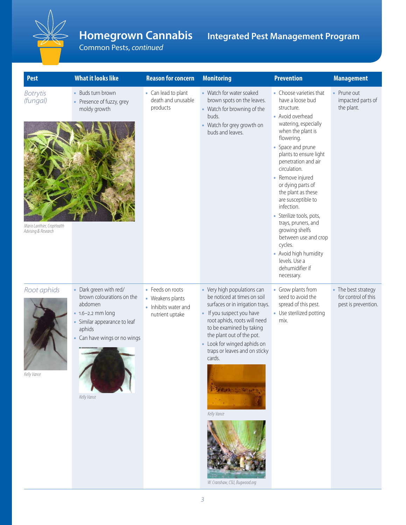

## **Homegrown Cannabis**

**Integrated Pest Management Program**

Common Pests, *continued*

| <b>Pest</b>                                                                      | <b>What it looks like</b>                                                                                                                                                  | <b>Reason for concern</b>                                                       | <b>Monitoring</b>                                                                                                                                                                                                                                                                                                                          | <b>Prevention</b>                                                                                                                                                                                                                                                                                                                                                                                                                                                                                                    | <b>Management</b>                                                 |
|----------------------------------------------------------------------------------|----------------------------------------------------------------------------------------------------------------------------------------------------------------------------|---------------------------------------------------------------------------------|--------------------------------------------------------------------------------------------------------------------------------------------------------------------------------------------------------------------------------------------------------------------------------------------------------------------------------------------|----------------------------------------------------------------------------------------------------------------------------------------------------------------------------------------------------------------------------------------------------------------------------------------------------------------------------------------------------------------------------------------------------------------------------------------------------------------------------------------------------------------------|-------------------------------------------------------------------|
| <b>Botrytis</b><br>(fungal)<br>Mario Lanthier, CropHealth<br>Advising & Research | • Buds turn brown<br>• Presence of fuzzy, grey<br>moldy growth                                                                                                             | • Can lead to plant<br>death and unusable<br>products                           | • Watch for water soaked<br>brown spots on the leaves.<br>Watch for browning of the<br>buds.<br>Watch for grey growth on<br>buds and leaves.                                                                                                                                                                                               | • Choose varieties that<br>have a loose bud<br>structure.<br>• Avoid overhead<br>watering, especially<br>when the plant is<br>flowering.<br>• Space and prune<br>plants to ensure light<br>penetration and air<br>circulation.<br>• Remove injured<br>or dying parts of<br>the plant as these<br>are susceptible to<br>infection.<br>· Sterilize tools, pots,<br>trays, pruners, and<br>growing shelfs<br>between use and crop<br>cycles.<br>• Avoid high humidity<br>levels. Use a<br>dehumidifier if<br>necessary. | • Prune out<br>impacted parts of<br>the plant.                    |
| Root aphids<br>Kelly Vance                                                       | • Dark green with red/<br>brown colourations on the<br>abdomen<br>• 1.6-2.2 mm long<br>Similar appearance to leaf<br>aphids<br>• Can have wings or no wings<br>Kelly Vance | • Feeds on roots<br>• Weakens plants<br>• Inhibits water and<br>nutrient uptake | • Very high populations can<br>be noticed at times on soil<br>surfaces or in irrigation trays.<br>If you suspect you have<br>root aphids, roots will need<br>to be examined by taking<br>the plant out of the pot.<br>Look for winged aphids on<br>traps or leaves and on sticky<br>cards.<br>Kelly Vance<br>W. Cranshaw, CSU, Bugwood.org | • Grow plants from<br>seed to avoid the<br>spread of this pest.<br>• Use sterilized potting<br>mix.                                                                                                                                                                                                                                                                                                                                                                                                                  | • The best strategy<br>for control of this<br>pest is prevention. |